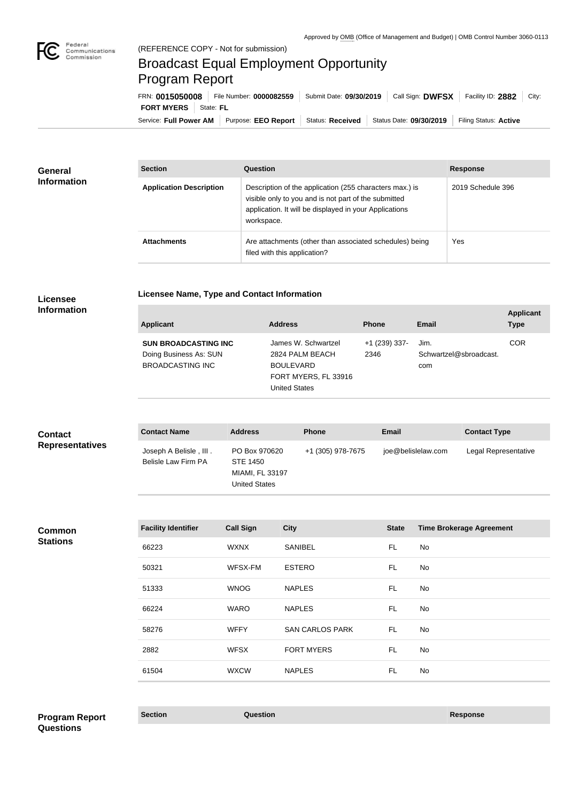

## Broadcast Equal Employment Opportunity Program Report

**Licensee Name, Type and Contact Information**

Service: Full Power AM | Purpose: EEO Report | Status: Received | Status Date: 09/30/2019 | Filing Status: Active **FORT MYERS** State: FL FRN: **0015050008** File Number: **0000082559** Submit Date: **09/30/2019** Call Sign: **DWFSX** Facility ID: **2882** City:

| <b>General</b><br><b>Information</b> | <b>Section</b>                 | <b>Question</b>                                                                                                                                                                         | <b>Response</b>   |
|--------------------------------------|--------------------------------|-----------------------------------------------------------------------------------------------------------------------------------------------------------------------------------------|-------------------|
|                                      | <b>Application Description</b> | Description of the application (255 characters max.) is<br>visible only to you and is not part of the submitted<br>application. It will be displayed in your Applications<br>workspace. | 2019 Schedule 396 |
|                                      | <b>Attachments</b>             | Are attachments (other than associated schedules) being<br>filed with this application?                                                                                                 | Yes               |

#### **Licensee Information**

| <b>Applicant</b>                                                                 | <b>Address</b>                                                                                             | <b>Phone</b>            | Email                                 | <b>Applicant</b><br><b>Type</b> |
|----------------------------------------------------------------------------------|------------------------------------------------------------------------------------------------------------|-------------------------|---------------------------------------|---------------------------------|
| <b>SUN BROADCASTING INC</b><br>Doing Business As: SUN<br><b>BROADCASTING INC</b> | James W. Schwartzel<br>2824 PALM BEACH<br><b>BOULEVARD</b><br>FORT MYERS, FL 33916<br><b>United States</b> | $+1$ (239) 337-<br>2346 | Jim.<br>Schwartzel@sbroadcast.<br>com | <b>COR</b>                      |

| <b>Contact</b>         | <b>Contact Name</b>                           | <b>Address</b>                                                       | <b>Phone</b>      | <b>Email</b>       | <b>Contact Type</b>  |
|------------------------|-----------------------------------------------|----------------------------------------------------------------------|-------------------|--------------------|----------------------|
| <b>Representatives</b> | Joseph A Belisle, III.<br>Belisle Law Firm PA | PO Box 970620<br>STE 1450<br>MIAMI, FL 33197<br><b>United States</b> | +1 (305) 978-7675 | joe@belislelaw.com | Legal Representative |

**Common Stations**

| <b>Facility Identifier</b> | <b>Call Sign</b> | <b>City</b>            | <b>State</b> | <b>Time Brokerage Agreement</b> |
|----------------------------|------------------|------------------------|--------------|---------------------------------|
| 66223                      | <b>WXNX</b>      | <b>SANIBEL</b>         | <b>FL</b>    | No                              |
| 50321                      | WFSX-FM          | <b>ESTERO</b>          | FL           | No                              |
| 51333                      | <b>WNOG</b>      | <b>NAPLES</b>          | FL           | No                              |
| 66224                      | <b>WARO</b>      | <b>NAPLES</b>          | FL           | No                              |
| 58276                      | <b>WFFY</b>      | <b>SAN CARLOS PARK</b> | FL           | No                              |
| 2882                       | <b>WFSX</b>      | <b>FORT MYERS</b>      | FL           | No                              |
| 61504                      | <b>WXCW</b>      | <b>NAPLES</b>          | FL           | No                              |

**Section Question Response Program Report Questions**